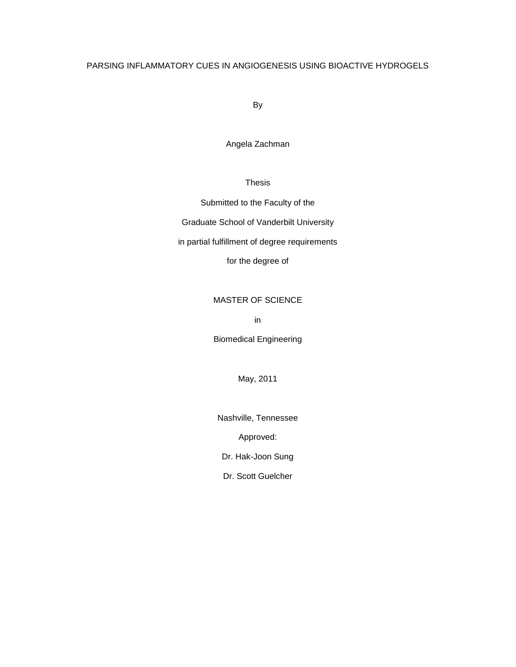# PARSING INFLAMMATORY CUES IN ANGIOGENESIS USING BIOACTIVE HYDROGELS

By

Angela Zachman

Thesis

Submitted to the Faculty of the

Graduate School of Vanderbilt University

in partial fulfillment of degree requirements

for the degree of

# MASTER OF SCIENCE

in

Biomedical Engineering

May, 2011

Nashville, Tennessee

Approved:

Dr. Hak-Joon Sung

Dr. Scott Guelcher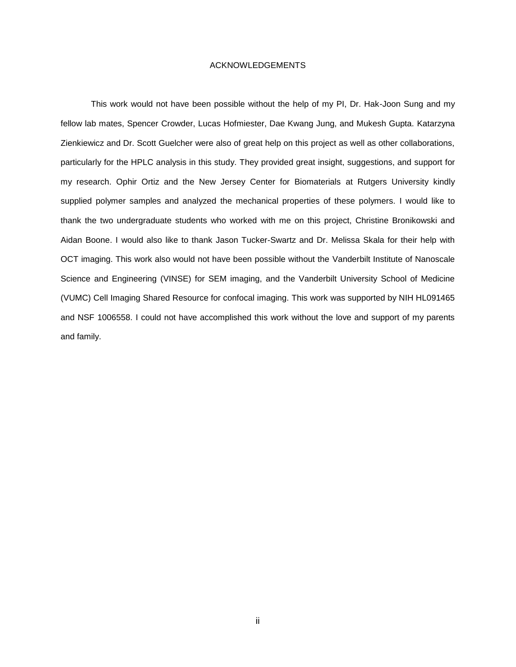# ACKNOWLEDGEMENTS

<span id="page-1-0"></span>This work would not have been possible without the help of my PI, Dr. Hak-Joon Sung and my fellow lab mates, Spencer Crowder, Lucas Hofmiester, Dae Kwang Jung, and Mukesh Gupta. Katarzyna Zienkiewicz and Dr. Scott Guelcher were also of great help on this project as well as other collaborations, particularly for the HPLC analysis in this study. They provided great insight, suggestions, and support for my research. Ophir Ortiz and the New Jersey Center for Biomaterials at Rutgers University kindly supplied polymer samples and analyzed the mechanical properties of these polymers. I would like to thank the two undergraduate students who worked with me on this project, Christine Bronikowski and Aidan Boone. I would also like to thank Jason Tucker-Swartz and Dr. Melissa Skala for their help with OCT imaging. This work also would not have been possible without the Vanderbilt Institute of Nanoscale Science and Engineering (VINSE) for SEM imaging, and the Vanderbilt University School of Medicine (VUMC) Cell Imaging Shared Resource for confocal imaging. This work was supported by NIH HL091465 and NSF 1006558. I could not have accomplished this work without the love and support of my parents and family.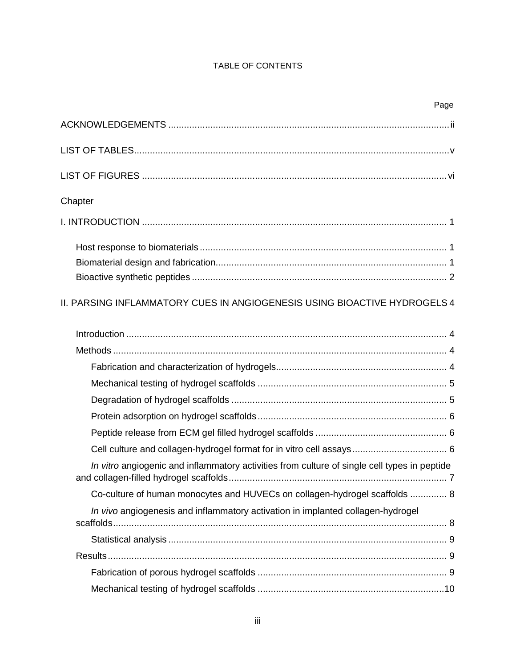# TABLE OF CONTENTS

|                                                                                              | Page |
|----------------------------------------------------------------------------------------------|------|
|                                                                                              |      |
|                                                                                              |      |
|                                                                                              |      |
| Chapter                                                                                      |      |
|                                                                                              |      |
|                                                                                              |      |
|                                                                                              |      |
|                                                                                              |      |
| II. PARSING INFLAMMATORY CUES IN ANGIOGENESIS USING BIOACTIVE HYDROGELS 4                    |      |
|                                                                                              |      |
|                                                                                              |      |
|                                                                                              |      |
|                                                                                              |      |
|                                                                                              |      |
|                                                                                              |      |
|                                                                                              |      |
|                                                                                              |      |
| In vitro angiogenic and inflammatory activities from culture of single cell types in peptide |      |
| Co-culture of human monocytes and HUVECs on collagen-hydrogel scaffolds  8                   |      |
| In vivo angiogenesis and inflammatory activation in implanted collagen-hydrogel              |      |
|                                                                                              |      |
|                                                                                              |      |
|                                                                                              |      |
|                                                                                              |      |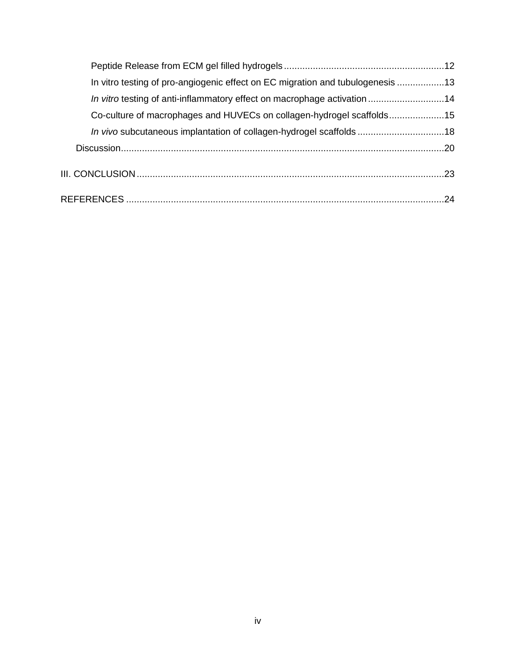| In vitro testing of pro-angiogenic effect on EC migration and tubulogenesis 13 |  |
|--------------------------------------------------------------------------------|--|
| In vitro testing of anti-inflammatory effect on macrophage activation 14       |  |
| Co-culture of macrophages and HUVECs on collagen-hydrogel scaffolds15          |  |
| In vivo subcutaneous implantation of collagen-hydrogel scaffolds 18            |  |
|                                                                                |  |
|                                                                                |  |
|                                                                                |  |
|                                                                                |  |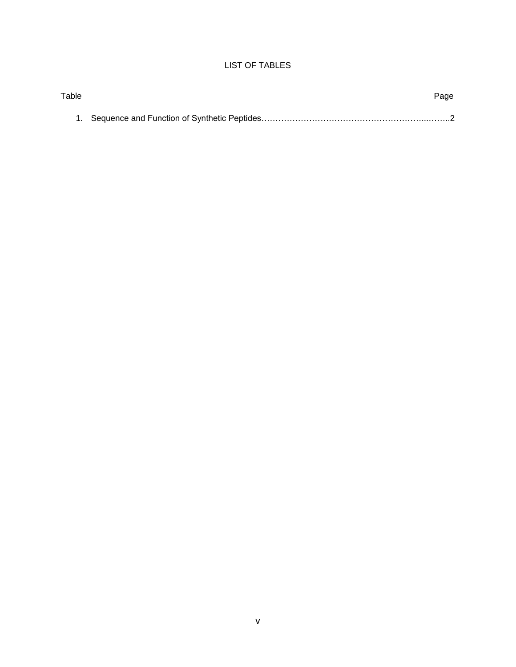# LIST OF TABLES

<span id="page-4-0"></span>

| Table | Page |
|-------|------|
|       |      |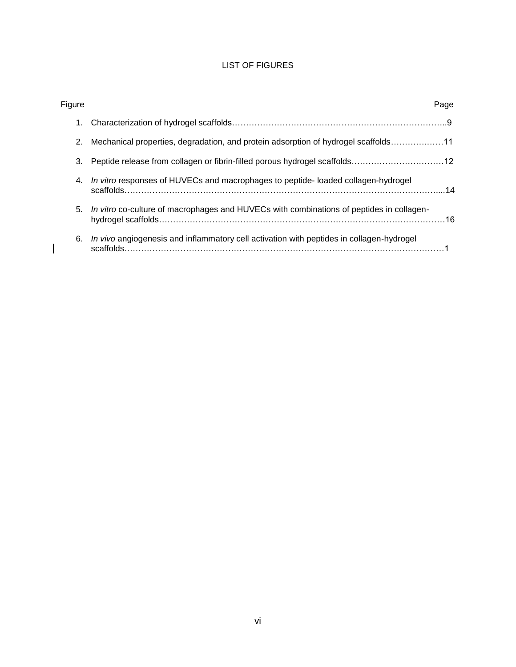# LIST OF FIGURES

<span id="page-5-0"></span>

| Figure |                                                                                                        | Page |
|--------|--------------------------------------------------------------------------------------------------------|------|
| 1.     |                                                                                                        |      |
| 2.     | Mechanical properties, degradation, and protein adsorption of hydrogel scaffolds11                     |      |
| 3.     |                                                                                                        |      |
| 4.     | In vitro responses of HUVECs and macrophages to peptide- loaded collagen-hydrogel                      |      |
| 5.     | In vitro co-culture of macrophages and HUVECs with combinations of peptides in collagen-               |      |
| 6.     | In vivo angiogenesis and inflammatory cell activation with peptides in collagen-hydrogel<br>scaffolds. |      |

 $\begin{array}{c} \hline \end{array}$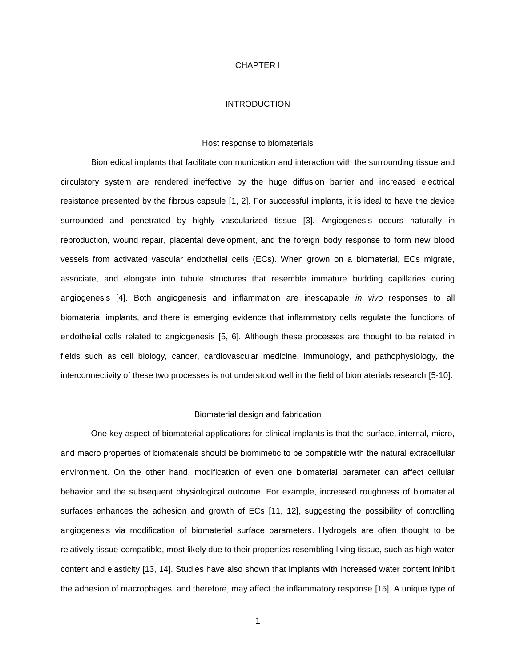#### CHAPTER I

#### INTRODUCTION

#### Host response to biomaterials

<span id="page-6-1"></span><span id="page-6-0"></span>Biomedical implants that facilitate communication and interaction with the surrounding tissue and circulatory system are rendered ineffective by the huge diffusion barrier and increased electrical resistance presented by the fibrous capsule [\[1,](#page-29-0) [2\]](#page-29-1). For successful implants, it is ideal to have the device surrounded and penetrated by highly vascularized tissue [\[3\].](#page-29-2) Angiogenesis occurs naturally in reproduction, wound repair, placental development, and the foreign body response to form new blood vessels from activated vascular endothelial cells (ECs). When grown on a biomaterial, ECs migrate, associate, and elongate into tubule structures that resemble immature budding capillaries during angiogenesis [\[4\]](#page-29-3). Both angiogenesis and inflammation are inescapable *in vivo* responses to all biomaterial implants, and there is emerging evidence that inflammatory cells regulate the functions of endothelial cells related to angiogenesis [\[5,](#page-29-4) [6\]](#page-29-5). Although these processes are thought to be related in fields such as cell biology, cancer, cardiovascular medicine, immunology, and pathophysiology, the interconnectivity of these two processes is not understood well in the field of biomaterials research [\[5-10\]](#page-29-4).

#### Biomaterial design and fabrication

<span id="page-6-2"></span>One key aspect of biomaterial applications for clinical implants is that the surface, internal, micro, and macro properties of biomaterials should be biomimetic to be compatible with the natural extracellular environment. On the other hand, modification of even one biomaterial parameter can affect cellular behavior and the subsequent physiological outcome. For example, increased roughness of biomaterial surfaces enhances the adhesion and growth of ECs [\[11,](#page-29-6) [12\]](#page-29-7), suggesting the possibility of controlling angiogenesis via modification of biomaterial surface parameters. Hydrogels are often thought to be relatively tissue-compatible, most likely due to their properties resembling living tissue, such as high water content and elasticity [\[13,](#page-29-8) [14\]](#page-29-9). Studies have also shown that implants with increased water content inhibit the adhesion of macrophages, and therefore, may affect the inflammatory response [\[15\]](#page-29-10). A unique type of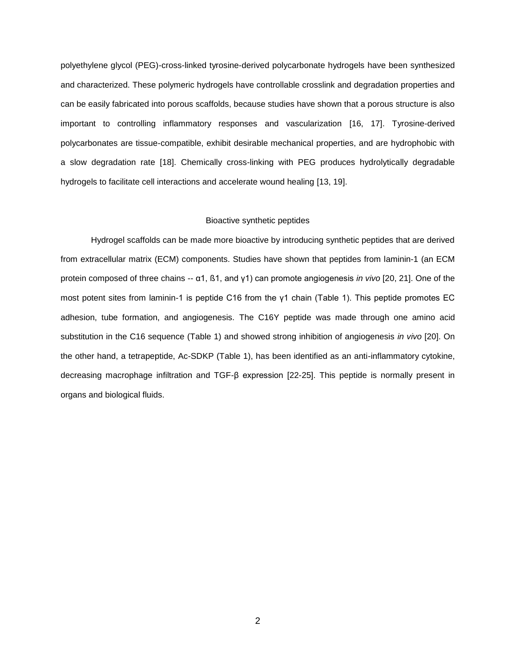polyethylene glycol (PEG)-cross-linked tyrosine-derived polycarbonate hydrogels have been synthesized and characterized. These polymeric hydrogels have controllable crosslink and degradation properties and can be easily fabricated into porous scaffolds, because studies have shown that a porous structure is also important to controlling inflammatory responses and vascularization [\[16,](#page-29-11) [17\]](#page-29-12). Tyrosine-derived polycarbonates are tissue-compatible, exhibit desirable mechanical properties, and are hydrophobic with a slow degradation rate [\[18\]](#page-29-13). Chemically cross-linking with PEG produces hydrolytically degradable hydrogels to facilitate cell interactions and accelerate wound healing [\[13,](#page-29-8) [19\]](#page-29-14).

#### Bioactive synthetic peptides

<span id="page-7-0"></span>Hydrogel scaffolds can be made more bioactive by introducing synthetic peptides that are derived from extracellular matrix (ECM) components. Studies have shown that peptides from laminin-1 (an ECM protein composed of three chains -- α1, ß1, and γ1) can promote angiogenesis *in vivo* [\[20,](#page-29-15) [21\]](#page-30-0). One of the most potent sites from laminin-1 is peptide C16 from the γ1 chain (Table 1). This peptide promotes EC adhesion, tube formation, and angiogenesis. The C16Y peptide was made through one amino acid substitution in the C16 sequence (Table 1) and showed strong inhibition of angiogenesis *in vivo* [\[20\]](#page-29-15). On the other hand, a tetrapeptide, Ac-SDKP (Table 1), has been identified as an anti-inflammatory cytokine, decreasing macrophage infiltration and TGF-β expression [\[22-25\]](#page-30-1). This peptide is normally present in organs and biological fluids.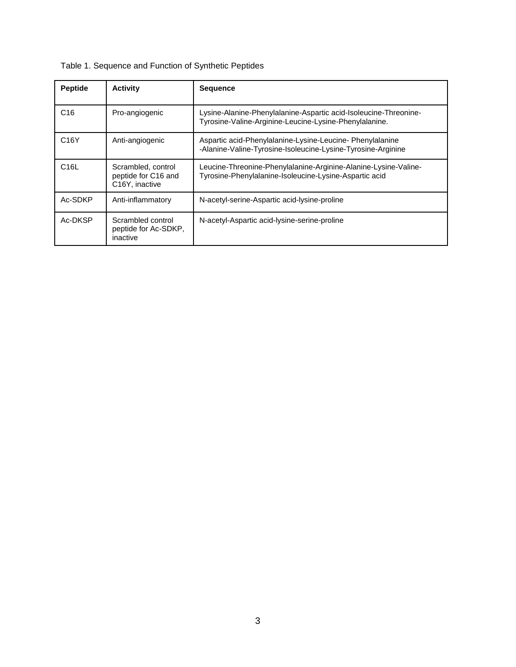| <b>Peptide</b>    | <b>Activity</b>                                             | <b>Sequence</b>                                                                                                            |
|-------------------|-------------------------------------------------------------|----------------------------------------------------------------------------------------------------------------------------|
| C <sub>16</sub>   | Pro-angiogenic                                              | Lysine-Alanine-Phenylalanine-Aspartic acid-Isoleucine-Threonine-<br>Tyrosine-Valine-Arginine-Leucine-Lysine-Phenylalanine. |
| C <sub>16</sub> Y | Anti-angiogenic                                             | Aspartic acid-Phenylalanine-Lysine-Leucine- Phenylalanine<br>-Alanine-Valine-Tyrosine-Isoleucine-Lysine-Tyrosine-Arginine  |
| C <sub>16</sub> L | Scrambled, control<br>peptide for C16 and<br>C16Y, inactive | Leucine-Threonine-Phenylalanine-Arginine-Alanine-Lysine-Valine-<br>Tyrosine-Phenylalanine-Isoleucine-Lysine-Aspartic acid  |
| Ac-SDKP           | Anti-inflammatory                                           | N-acetyl-serine-Aspartic acid-Iysine-proline                                                                               |
| Ac-DKSP           | Scrambled control<br>peptide for Ac-SDKP,<br>inactive       | N-acetyl-Aspartic acid-Iysine-serine-proline                                                                               |

# Table 1. Sequence and Function of Synthetic Peptides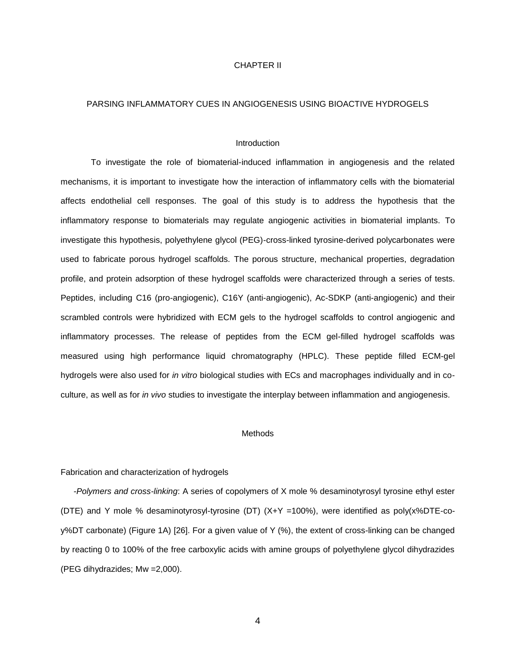# CHAPTER II

#### <span id="page-9-0"></span>PARSING INFLAMMATORY CUES IN ANGIOGENESIS USING BIOACTIVE HYDROGELS

#### **Introduction**

<span id="page-9-1"></span>To investigate the role of biomaterial-induced inflammation in angiogenesis and the related mechanisms, it is important to investigate how the interaction of inflammatory cells with the biomaterial affects endothelial cell responses. The goal of this study is to address the hypothesis that the inflammatory response to biomaterials may regulate angiogenic activities in biomaterial implants. To investigate this hypothesis, polyethylene glycol (PEG)-cross-linked tyrosine-derived polycarbonates were used to fabricate porous hydrogel scaffolds. The porous structure, mechanical properties, degradation profile, and protein adsorption of these hydrogel scaffolds were characterized through a series of tests. Peptides, including C16 (pro-angiogenic), C16Y (anti-angiogenic), Ac-SDKP (anti-angiogenic) and their scrambled controls were hybridized with ECM gels to the hydrogel scaffolds to control angiogenic and inflammatory processes. The release of peptides from the ECM gel-filled hydrogel scaffolds was measured using high performance liquid chromatography (HPLC). These peptide filled ECM-gel hydrogels were also used for *in vitro* biological studies with ECs and macrophages individually and in coculture, as well as for *in vivo* studies to investigate the interplay between inflammation and angiogenesis.

#### Methods

#### <span id="page-9-3"></span><span id="page-9-2"></span>Fabrication and characterization of hydrogels

-*Polymers and cross-linking*: A series of copolymers of X mole % desaminotyrosyl tyrosine ethyl ester (DTE) and Y mole % desaminotyrosyl-tyrosine (DT) (X+Y =100%), were identified as poly(x%DTE-coy%DT carbonate) (Figure 1A) [\[26\]](#page-30-2). For a given value of Y (%), the extent of cross-linking can be changed by reacting 0 to 100% of the free carboxylic acids with amine groups of polyethylene glycol dihydrazides (PEG dihydrazides; Mw =2,000).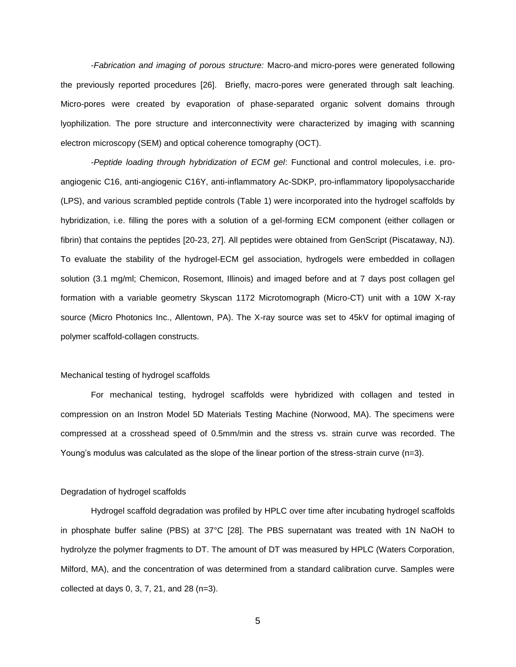-*Fabrication and imaging of porous structure:* Macro-and micro-pores were generated following the previously reported procedures [\[26\]](#page-30-2). Briefly, macro-pores were generated through salt leaching. Micro-pores were created by evaporation of phase-separated organic solvent domains through lyophilization. The pore structure and interconnectivity were characterized by imaging with scanning electron microscopy (SEM) and optical coherence tomography (OCT).

-*Peptide loading through hybridization of ECM gel*: Functional and control molecules, i.e. proangiogenic C16, anti-angiogenic C16Y, anti-inflammatory Ac-SDKP, pro-inflammatory lipopolysaccharide (LPS), and various scrambled peptide controls (Table 1) were incorporated into the hydrogel scaffolds by hybridization, i.e. filling the pores with a solution of a gel-forming ECM component (either collagen or fibrin) that contains the peptides [\[20-23,](#page-29-15) [27\]](#page-30-3). All peptides were obtained from GenScript (Piscataway, NJ). To evaluate the stability of the hydrogel-ECM gel association, hydrogels were embedded in collagen solution (3.1 mg/ml; Chemicon, Rosemont, Illinois) and imaged before and at 7 days post collagen gel formation with a variable geometry Skyscan 1172 Microtomograph (Micro-CT) unit with a 10W X-ray source (Micro Photonics Inc., Allentown, PA). The X-ray source was set to 45kV for optimal imaging of polymer scaffold-collagen constructs.

## <span id="page-10-0"></span>Mechanical testing of hydrogel scaffolds

For mechanical testing, hydrogel scaffolds were hybridized with collagen and tested in compression on an Instron Model 5D Materials Testing Machine (Norwood, MA). The specimens were compressed at a crosshead speed of 0.5mm/min and the stress vs. strain curve was recorded. The Young's modulus was calculated as the slope of the linear portion of the stress-strain curve (n=3).

#### <span id="page-10-1"></span>Degradation of hydrogel scaffolds

Hydrogel scaffold degradation was profiled by HPLC over time after incubating hydrogel scaffolds in phosphate buffer saline (PBS) at 37°C [\[28\]](#page-30-4). The PBS supernatant was treated with 1N NaOH to hydrolyze the polymer fragments to DT. The amount of DT was measured by HPLC (Waters Corporation, Milford, MA), and the concentration of was determined from a standard calibration curve. Samples were collected at days 0, 3, 7, 21, and 28 (n=3).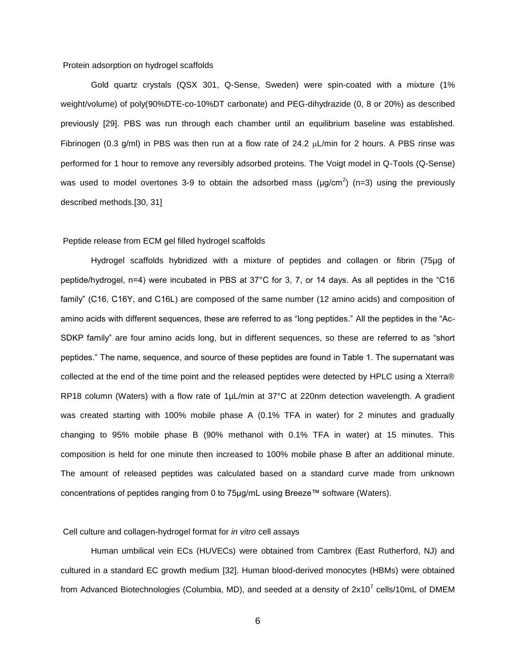#### <span id="page-11-0"></span>Protein adsorption on hydrogel scaffolds

Gold quartz crystals (QSX 301, Q-Sense, Sweden) were spin-coated with a mixture (1% weight/volume) of poly(90%DTE-co-10%DT carbonate) and PEG-dihydrazide (0, 8 or 20%) as described previously [\[29\]](#page-30-5). PBS was run through each chamber until an equilibrium baseline was established. Fibrinogen (0.3 g/ml) in PBS was then run at a flow rate of 24.2  $\mu$ L/min for 2 hours. A PBS rinse was performed for 1 hour to remove any reversibly adsorbed proteins. The Voigt model in Q-Tools (Q-Sense) was used to model overtones 3-9 to obtain the adsorbed mass ( $\mu$ g/cm<sup>2</sup>) (n=3) using the previously described methods.[\[30,](#page-30-6) [31\]](#page-30-7)

# <span id="page-11-1"></span>Peptide release from ECM gel filled hydrogel scaffolds

Hydrogel scaffolds hybridized with a mixture of peptides and collagen or fibrin (75µg of peptide/hydrogel, n=4) were incubated in PBS at 37°C for 3, 7, or 14 days. As all peptides in the "C16 family" (C16, C16Y, and C16L) are composed of the same number (12 amino acids) and composition of amino acids with different sequences, these are referred to as "long peptides." All the peptides in the "Ac-SDKP family" are four amino acids long, but in different sequences, so these are referred to as "short peptides." The name, sequence, and source of these peptides are found in Table 1. The supernatant was collected at the end of the time point and the released peptides were detected by HPLC using a Xterra® RP18 column (Waters) with a flow rate of 1µL/min at 37°C at 220nm detection wavelength. A gradient was created starting with 100% mobile phase A (0.1% TFA in water) for 2 minutes and gradually changing to 95% mobile phase B (90% methanol with 0.1% TFA in water) at 15 minutes. This composition is held for one minute then increased to 100% mobile phase B after an additional minute. The amount of released peptides was calculated based on a standard curve made from unknown concentrations of peptides ranging from 0 to 75µg/mL using Breeze™ software (Waters).

#### <span id="page-11-2"></span>Cell culture and collagen-hydrogel format for *in vitro* cell assays

Human umbilical vein ECs (HUVECs) were obtained from Cambrex (East Rutherford, NJ) and cultured in a standard EC growth medium [\[32\]](#page-30-8). Human blood-derived monocytes (HBMs) were obtained from Advanced Biotechnologies (Columbia, MD), and seeded at a density of 2x10<sup>7</sup> cells/10mL of DMEM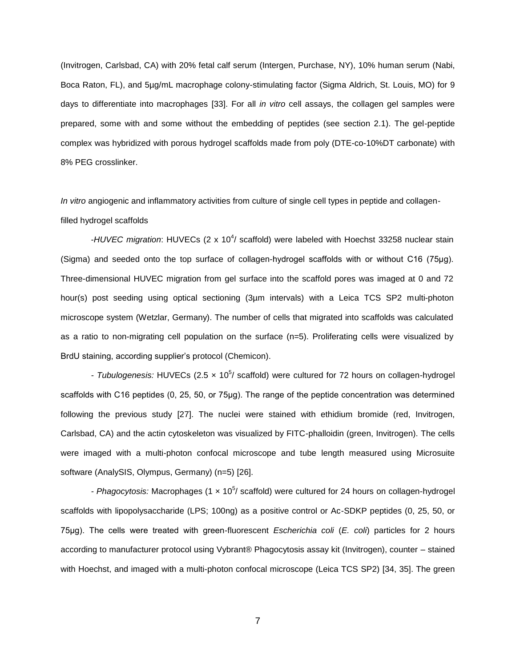(Invitrogen, Carlsbad, CA) with 20% fetal calf serum (Intergen, Purchase, NY), 10% human serum (Nabi, Boca Raton, FL), and 5µg/mL macrophage colony-stimulating factor (Sigma Aldrich, St. Louis, MO) for 9 days to differentiate into macrophages [\[33\]](#page-30-9). For all *in vitro* cell assays, the collagen gel samples were prepared, some with and some without the embedding of peptides (see section 2.1). The gel-peptide complex was hybridized with porous hydrogel scaffolds made from poly (DTE-co-10%DT carbonate) with 8% PEG crosslinker.

<span id="page-12-0"></span>*In vitro* angiogenic and inflammatory activities from culture of single cell types in peptide and collagenfilled hydrogel scaffolds

-HUVEC migration: HUVECs (2 x 10<sup>4</sup>/ scaffold) were labeled with Hoechst 33258 nuclear stain (Sigma) and seeded onto the top surface of collagen-hydrogel scaffolds with or without C16 (75μg). Three-dimensional HUVEC migration from gel surface into the scaffold pores was imaged at 0 and 72 hour(s) post seeding using optical sectioning (3µm intervals) with a Leica TCS SP2 multi-photon microscope system (Wetzlar, Germany). The number of cells that migrated into scaffolds was calculated as a ratio to non-migrating cell population on the surface (n=5). Proliferating cells were visualized by BrdU staining, according supplier's protocol (Chemicon).

- Tubulogenesis: HUVECs (2.5 x 10<sup>5</sup>/ scaffold) were cultured for 72 hours on collagen-hydrogel scaffolds with C16 peptides (0, 25, 50, or 75µg). The range of the peptide concentration was determined following the previous study [\[27\]](#page-30-3). The nuclei were stained with ethidium bromide (red, Invitrogen, Carlsbad, CA) and the actin cytoskeleton was visualized by FITC-phalloidin (green, Invitrogen). The cells were imaged with a multi-photon confocal microscope and tube length measured using Microsuite software (AnalySIS, Olympus, Germany) (n=5) [\[26\]](#page-30-2).

- *Phagocytosis:* Macrophages (1 x 10<sup>5</sup>/ scaffold) were cultured for 24 hours on collagen-hydrogel scaffolds with lipopolysaccharide (LPS; 100ng) as a positive control or Ac-SDKP peptides (0, 25, 50, or 75μg). The cells were treated with green-fluorescent *Escherichia coli* (*E. coli*) particles for 2 hours according to manufacturer protocol using Vybrant® Phagocytosis assay kit (Invitrogen), counter – stained with Hoechst, and imaged with a multi-photon confocal microscope (Leica TCS SP2) [\[34,](#page-30-10) [35\]](#page-30-11). The green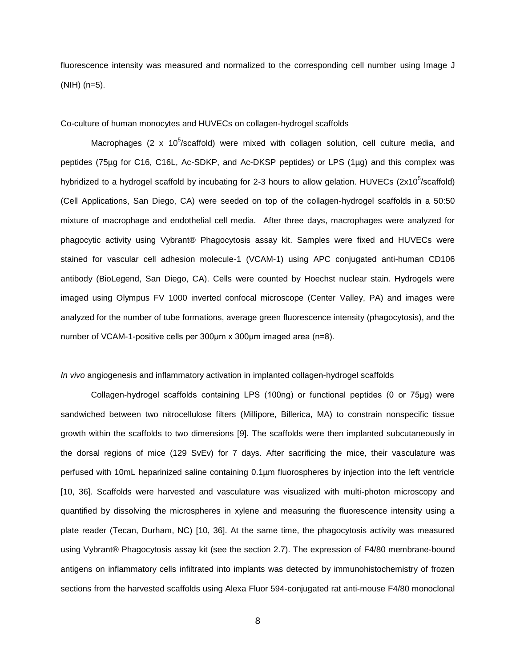fluorescence intensity was measured and normalized to the corresponding cell number using Image J (NIH) (n=5).

<span id="page-13-0"></span>Co-culture of human monocytes and HUVECs on collagen-hydrogel scaffolds

Macrophages (2 x 10<sup>5</sup>/scaffold) were mixed with collagen solution, cell culture media, and peptides (75µg for C16, C16L, Ac-SDKP, and Ac-DKSP peptides) or LPS (1µg) and this complex was hybridized to a hydrogel scaffold by incubating for 2-3 hours to allow gelation. HUVECs (2x10<sup>5</sup>/scaffold) (Cell Applications, San Diego, CA) were seeded on top of the collagen-hydrogel scaffolds in a 50:50 mixture of macrophage and endothelial cell media. After three days, macrophages were analyzed for phagocytic activity using Vybrant® Phagocytosis assay kit. Samples were fixed and HUVECs were stained for vascular cell adhesion molecule-1 (VCAM-1) using APC conjugated anti-human CD106 antibody (BioLegend, San Diego, CA). Cells were counted by Hoechst nuclear stain. Hydrogels were imaged using Olympus FV 1000 inverted confocal microscope (Center Valley, PA) and images were analyzed for the number of tube formations, average green fluorescence intensity (phagocytosis), and the number of VCAM-1-positive cells per 300μm x 300μm imaged area (n=8).

## <span id="page-13-1"></span>*In vivo* angiogenesis and inflammatory activation in implanted collagen-hydrogel scaffolds

Collagen-hydrogel scaffolds containing LPS (100ng) or functional peptides (0 or 75μg) were sandwiched between two nitrocellulose filters (Millipore, Billerica, MA) to constrain nonspecific tissue growth within the scaffolds to two dimensions [\[9\]](#page-29-16). The scaffolds were then implanted subcutaneously in the dorsal regions of mice (129 SvEv) for 7 days. After sacrificing the mice, their vasculature was perfused with 10mL heparinized saline containing 0.1µm fluorospheres by injection into the left ventricle [\[10,](#page-29-17) [36\]](#page-30-12). Scaffolds were harvested and vasculature was visualized with multi-photon microscopy and quantified by dissolving the microspheres in xylene and measuring the fluorescence intensity using a plate reader (Tecan, Durham, NC) [\[10,](#page-29-17) [36\]](#page-30-12). At the same time, the phagocytosis activity was measured using Vybrant® Phagocytosis assay kit (see the section 2.7). The expression of F4/80 membrane-bound antigens on inflammatory cells infiltrated into implants was detected by immunohistochemistry of frozen sections from the harvested scaffolds using Alexa Fluor 594-conjugated rat anti-mouse F4/80 monoclonal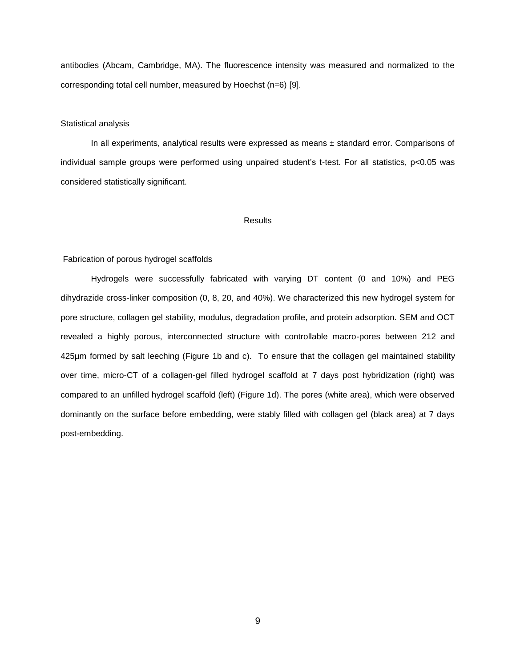antibodies (Abcam, Cambridge, MA). The fluorescence intensity was measured and normalized to the corresponding total cell number, measured by Hoechst (n=6) [\[9\]](#page-29-16).

#### <span id="page-14-0"></span>Statistical analysis

In all experiments, analytical results were expressed as means ± standard error. Comparisons of individual sample groups were performed using unpaired student's t-test. For all statistics, p<0.05 was considered statistically significant.

#### Results

#### <span id="page-14-2"></span><span id="page-14-1"></span>Fabrication of porous hydrogel scaffolds

Hydrogels were successfully fabricated with varying DT content (0 and 10%) and PEG dihydrazide cross-linker composition (0, 8, 20, and 40%). We characterized this new hydrogel system for pore structure, collagen gel stability, modulus, degradation profile, and protein adsorption. SEM and OCT revealed a highly porous, interconnected structure with controllable macro-pores between 212 and 425µm formed by salt leeching (Figure 1b and c). To ensure that the collagen gel maintained stability over time, micro-CT of a collagen-gel filled hydrogel scaffold at 7 days post hybridization (right) was compared to an unfilled hydrogel scaffold (left) (Figure 1d). The pores (white area), which were observed dominantly on the surface before embedding, were stably filled with collagen gel (black area) at 7 days post-embedding.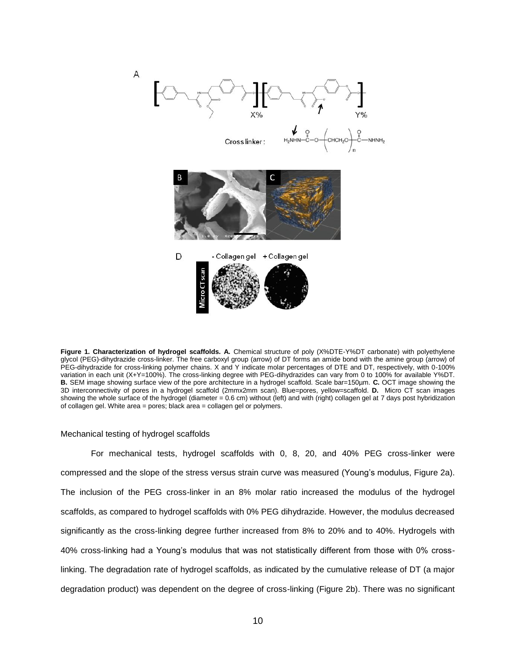

**Figure 1. Characterization of hydrogel scaffolds. A.** Chemical structure of poly (X%DTE-Y%DT carbonate) with polyethylene glycol (PEG)-dihydrazide cross-linker. The free carboxyl group (arrow) of DT forms an amide bond with the amine group (arrow) of PEG-dihydrazide for cross-linking polymer chains. X and Y indicate molar percentages of DTE and DT, respectively, with 0-100% variation in each unit (X+Y=100%). The cross-linking degree with PEG-dihydrazides can vary from 0 to 100% for available Y%DT. **B.** SEM image showing surface view of the pore architecture in a hydrogel scaffold. Scale bar=150µm. **C.** OCT image showing the 3D interconnectivity of pores in a hydrogel scaffold (2mmx2mm scan). Blue=pores, yellow=scaffold. **D.** Micro CT scan images showing the whole surface of the hydrogel (diameter = 0.6 cm) without (left) and with (right) collagen gel at 7 days post hybridization of collagen gel. White area = pores; black area = collagen gel or polymers.

#### <span id="page-15-0"></span>Mechanical testing of hydrogel scaffolds

For mechanical tests, hydrogel scaffolds with 0, 8, 20, and 40% PEG cross-linker were compressed and the slope of the stress versus strain curve was measured (Young's modulus, Figure 2a). The inclusion of the PEG cross-linker in an 8% molar ratio increased the modulus of the hydrogel scaffolds, as compared to hydrogel scaffolds with 0% PEG dihydrazide. However, the modulus decreased significantly as the cross-linking degree further increased from 8% to 20% and to 40%. Hydrogels with 40% cross-linking had a Young's modulus that was not statistically different from those with 0% crosslinking. The degradation rate of hydrogel scaffolds, as indicated by the cumulative release of DT (a major degradation product) was dependent on the degree of cross-linking (Figure 2b). There was no significant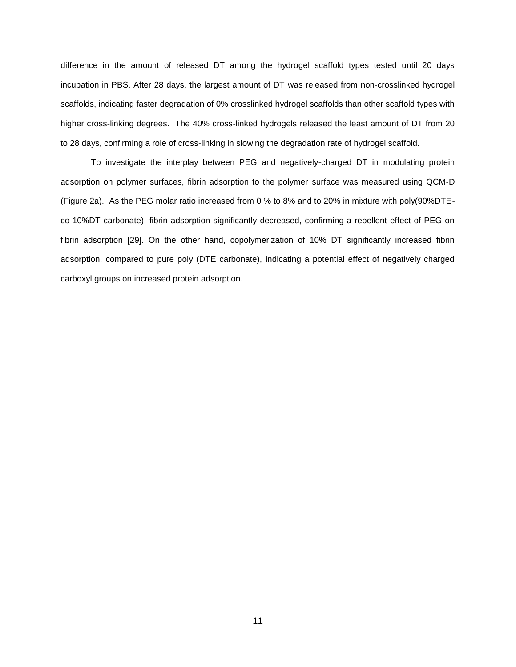difference in the amount of released DT among the hydrogel scaffold types tested until 20 days incubation in PBS. After 28 days, the largest amount of DT was released from non-crosslinked hydrogel scaffolds, indicating faster degradation of 0% crosslinked hydrogel scaffolds than other scaffold types with higher cross-linking degrees. The 40% cross-linked hydrogels released the least amount of DT from 20 to 28 days, confirming a role of cross-linking in slowing the degradation rate of hydrogel scaffold.

To investigate the interplay between PEG and negatively-charged DT in modulating protein adsorption on polymer surfaces, fibrin adsorption to the polymer surface was measured using QCM-D (Figure 2a). As the PEG molar ratio increased from 0 % to 8% and to 20% in mixture with poly(90%DTEco-10%DT carbonate), fibrin adsorption significantly decreased, confirming a repellent effect of PEG on fibrin adsorption [\[29\]](#page-30-5). On the other hand, copolymerization of 10% DT significantly increased fibrin adsorption, compared to pure poly (DTE carbonate), indicating a potential effect of negatively charged carboxyl groups on increased protein adsorption.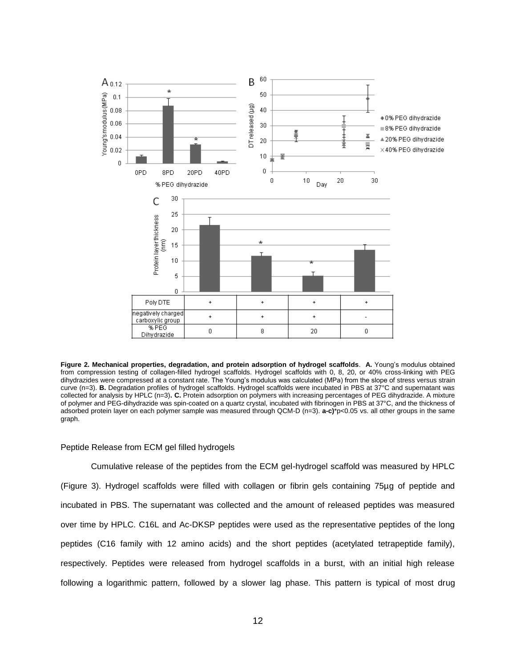

**Figure 2. Mechanical properties, degradation, and protein adsorption of hydrogel scaffolds**. **A.** Young's modulus obtained from compression testing of collagen-filled hydrogel scaffolds. Hydrogel scaffolds with 0, 8, 20, or 40% cross-linking with PEG dihydrazides were compressed at a constant rate. The Young's modulus was calculated (MPa) from the slope of stress versus strain curve (n=3). **B.** Degradation profiles of hydrogel scaffolds. Hydrogel scaffolds were incubated in PBS at 37°C and supernatant was collected for analysis by HPLC (n=3)**. C.** Protein adsorption on polymers with increasing percentages of PEG dihydrazide. A mixture of polymer and PEG-dihydrazide was spin-coated on a quartz crystal, incubated with fibrinogen in PBS at 37°C, and the thickness of adsorbed protein layer on each polymer sample was measured through QCM-D (n=3). **a-c)**\*p<0.05 vs. all other groups in the same graph.

## <span id="page-17-0"></span>Peptide Release from ECM gel filled hydrogels

Cumulative release of the peptides from the ECM gel-hydrogel scaffold was measured by HPLC (Figure 3). Hydrogel scaffolds were filled with collagen or fibrin gels containing 75µg of peptide and incubated in PBS. The supernatant was collected and the amount of released peptides was measured over time by HPLC. C16L and Ac-DKSP peptides were used as the representative peptides of the long peptides (C16 family with 12 amino acids) and the short peptides (acetylated tetrapeptide family), respectively. Peptides were released from hydrogel scaffolds in a burst, with an initial high release following a logarithmic pattern, followed by a slower lag phase. This pattern is typical of most drug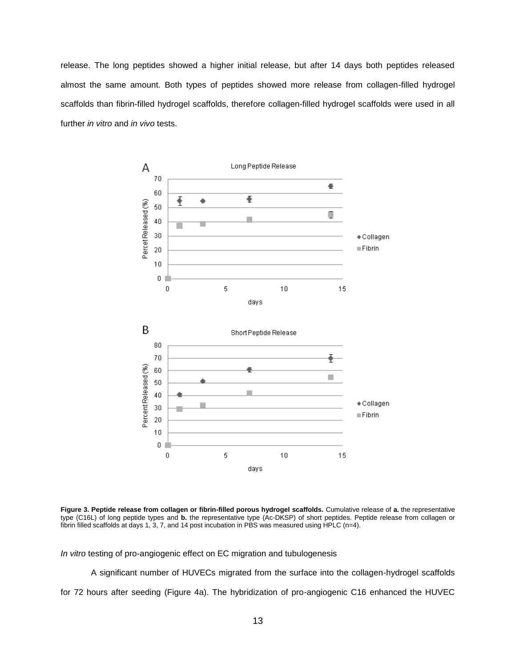release. The long peptides showed a higher initial release, but after 14 days both peptides released almost the same amount. Both types of peptides showed more release from collagen-filled hydrogel scaffolds than fibrin-filled hydrogel scaffolds, therefore collagen-filled hydrogel scaffolds were used in all further *in vitro* and *in vivo* tests.



**Figure 3. Peptide release from collagen or fibrin-filled porous hydrogel scaffolds.** Cumulative release of **a.** the representative type (C16L) of long peptide types and **b.** the representative type (Ac-DKSP) of short peptides. Peptide release from collagen or fibrin filled scaffolds at days 1, 3, 7, and 14 post incubation in PBS was measured using HPLC (n=4).

<span id="page-18-0"></span>*In vitro* testing of pro-angiogenic effect on EC migration and tubulogenesis

A significant number of HUVECs migrated from the surface into the collagen-hydrogel scaffolds for 72 hours after seeding (Figure 4a). The hybridization of pro-angiogenic C16 enhanced the HUVEC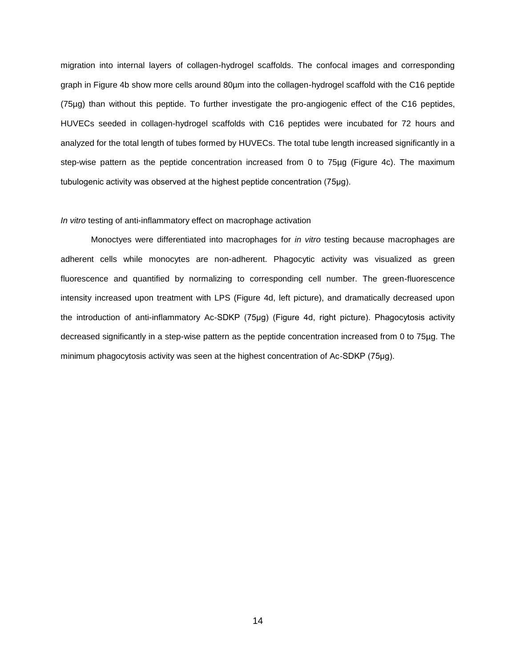migration into internal layers of collagen-hydrogel scaffolds. The confocal images and corresponding graph in Figure 4b show more cells around 80µm into the collagen-hydrogel scaffold with the C16 peptide (75µg) than without this peptide. To further investigate the pro-angiogenic effect of the C16 peptides, HUVECs seeded in collagen-hydrogel scaffolds with C16 peptides were incubated for 72 hours and analyzed for the total length of tubes formed by HUVECs. The total tube length increased significantly in a step-wise pattern as the peptide concentration increased from 0 to 75µg (Figure 4c). The maximum tubulogenic activity was observed at the highest peptide concentration (75μg).

#### <span id="page-19-0"></span>*In vitro* testing of anti-inflammatory effect on macrophage activation

Monoctyes were differentiated into macrophages for *in vitro* testing because macrophages are adherent cells while monocytes are non-adherent. Phagocytic activity was visualized as green fluorescence and quantified by normalizing to corresponding cell number. The green-fluorescence intensity increased upon treatment with LPS (Figure 4d, left picture), and dramatically decreased upon the introduction of anti-inflammatory Ac-SDKP (75μg) (Figure 4d, right picture). Phagocytosis activity decreased significantly in a step-wise pattern as the peptide concentration increased from 0 to 75µg. The minimum phagocytosis activity was seen at the highest concentration of Ac-SDKP (75μg).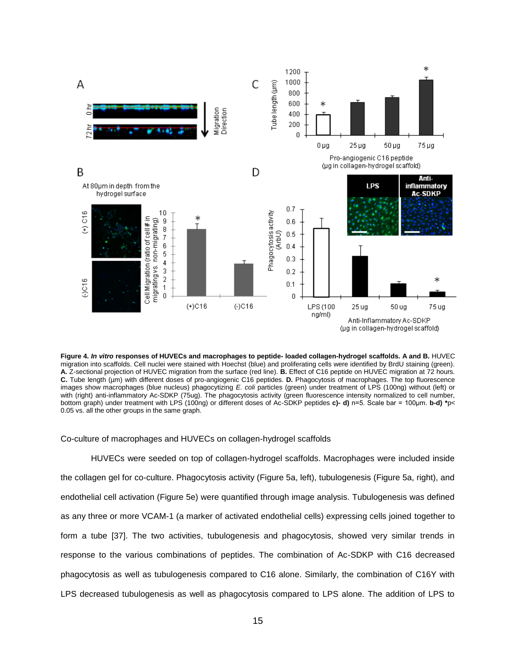

**Figure 4.** *In vitro* **responses of HUVECs and macrophages to peptide- loaded collagen-hydrogel scaffolds. A and B.** HUVEC migration into scaffolds. Cell nuclei were stained with Hoechst (blue) and proliferating cells were identified by BrdU staining (green). **A.** Z-sectional projection of HUVEC migration from the surface (red line). **B.** Effect of C16 peptide on HUVEC migration at 72 hours. **C.** Tube length (µm) with different doses of pro-angiogenic C16 peptides. **D.** Phagocytosis of macrophages. The top fluorescence images show macrophages (blue nucleus) phagocytizing *E. coli* particles (green) under treatment of LPS (100ng) without (left) or with (right) anti-inflammatory Ac-SDKP (75ug). The phagocytosis activity (green fluorescence intensity normalized to cell number, bottom graph) under treatment with LPS (100ng) or different doses of Ac-SDKP peptides **c)- d)** n=5. Scale bar = 100μm. **b-d) \***p< 0.05 vs. all the other groups in the same graph.

<span id="page-20-0"></span>Co-culture of macrophages and HUVECs on collagen-hydrogel scaffolds

HUVECs were seeded on top of collagen-hydrogel scaffolds. Macrophages were included inside the collagen gel for co-culture. Phagocytosis activity (Figure 5a, left), tubulogenesis (Figure 5a, right), and endothelial cell activation (Figure 5e) were quantified through image analysis. Tubulogenesis was defined as any three or more VCAM-1 (a marker of activated endothelial cells) expressing cells joined together to form a tube [\[37\]](#page-30-13). The two activities, tubulogenesis and phagocytosis, showed very similar trends in response to the various combinations of peptides. The combination of Ac-SDKP with C16 decreased phagocytosis as well as tubulogenesis compared to C16 alone. Similarly, the combination of C16Y with LPS decreased tubulogenesis as well as phagocytosis compared to LPS alone. The addition of LPS to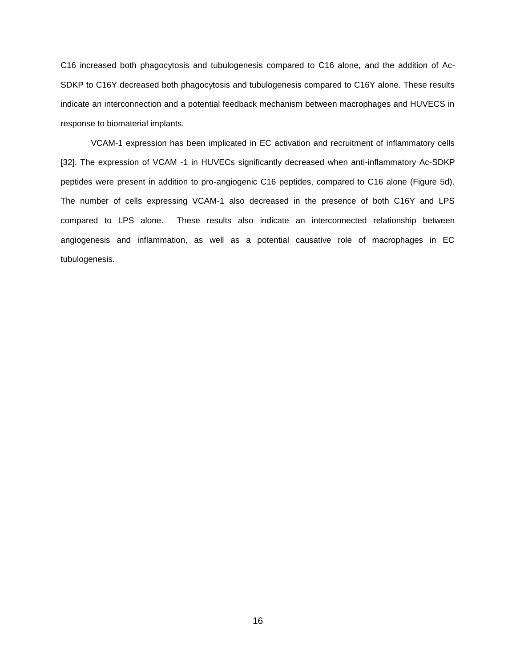C16 increased both phagocytosis and tubulogenesis compared to C16 alone, and the addition of Ac-SDKP to C16Y decreased both phagocytosis and tubulogenesis compared to C16Y alone. These results indicate an interconnection and a potential feedback mechanism between macrophages and HUVECS in response to biomaterial implants.

VCAM-1 expression has been implicated in EC activation and recruitment of inflammatory cells [\[32\]](#page-30-8). The expression of VCAM -1 in HUVECs significantly decreased when anti-inflammatory Ac-SDKP peptides were present in addition to pro-angiogenic C16 peptides, compared to C16 alone (Figure 5d). The number of cells expressing VCAM-1 also decreased in the presence of both C16Y and LPS compared to LPS alone. These results also indicate an interconnected relationship between angiogenesis and inflammation, as well as a potential causative role of macrophages in EC tubulogenesis.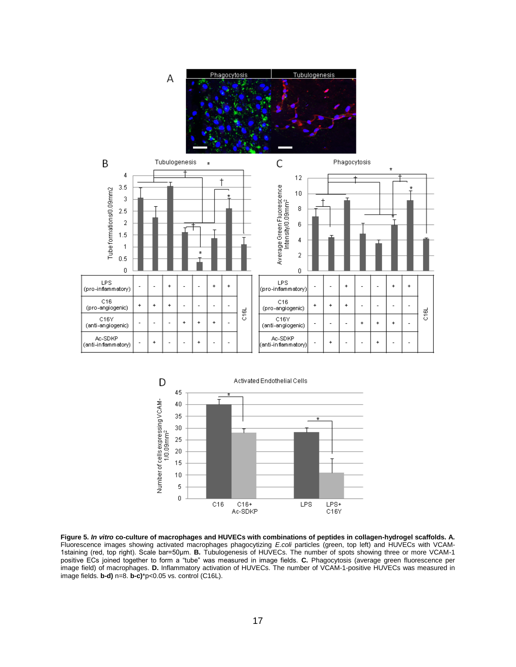





**Figure 5.** *In vitro* **co-culture of macrophages and HUVECs with combinations of peptides in collagen-hydrogel scaffolds. A.** Fluorescence images showing activated macrophages phagocytizing *E.coli* particles (green, top left) and HUVECs with VCAM-1staining (red, top right). Scale bar=50μm. **B.** Tubulogenesis of HUVECs. The number of spots showing three or more VCAM-1 positive ECs joined together to form a "tube" was measured in image fields. **C.** Phagocytosis (average green fluorescence per image field) of macrophages. **D.** Inflammatory activation of HUVECs. The number of VCAM-1-positive HUVECs was measured in image fields. **b-d)** n=8. **b-c)**\*p<0.05 vs. control (C16L).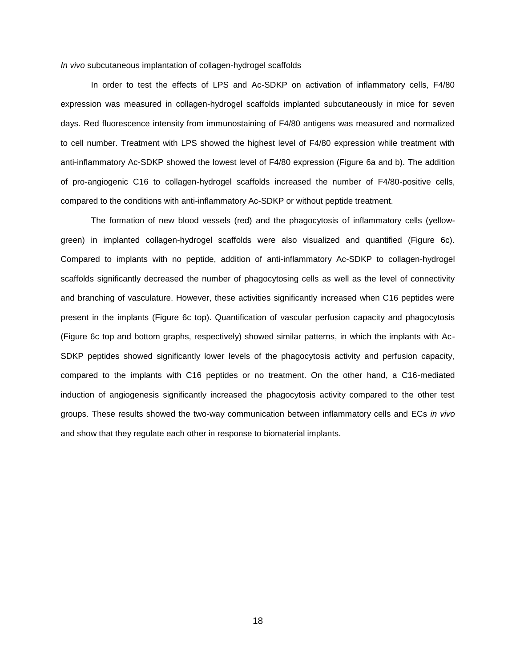<span id="page-23-0"></span>*In vivo* subcutaneous implantation of collagen-hydrogel scaffolds

In order to test the effects of LPS and Ac-SDKP on activation of inflammatory cells, F4/80 expression was measured in collagen-hydrogel scaffolds implanted subcutaneously in mice for seven days. Red fluorescence intensity from immunostaining of F4/80 antigens was measured and normalized to cell number. Treatment with LPS showed the highest level of F4/80 expression while treatment with anti-inflammatory Ac-SDKP showed the lowest level of F4/80 expression (Figure 6a and b). The addition of pro-angiogenic C16 to collagen-hydrogel scaffolds increased the number of F4/80-positive cells, compared to the conditions with anti-inflammatory Ac-SDKP or without peptide treatment.

The formation of new blood vessels (red) and the phagocytosis of inflammatory cells (yellowgreen) in implanted collagen-hydrogel scaffolds were also visualized and quantified (Figure 6c). Compared to implants with no peptide, addition of anti-inflammatory Ac-SDKP to collagen-hydrogel scaffolds significantly decreased the number of phagocytosing cells as well as the level of connectivity and branching of vasculature. However, these activities significantly increased when C16 peptides were present in the implants (Figure 6c top). Quantification of vascular perfusion capacity and phagocytosis (Figure 6c top and bottom graphs, respectively) showed similar patterns, in which the implants with Ac-SDKP peptides showed significantly lower levels of the phagocytosis activity and perfusion capacity, compared to the implants with C16 peptides or no treatment. On the other hand, a C16-mediated induction of angiogenesis significantly increased the phagocytosis activity compared to the other test groups. These results showed the two-way communication between inflammatory cells and ECs *in vivo* and show that they regulate each other in response to biomaterial implants.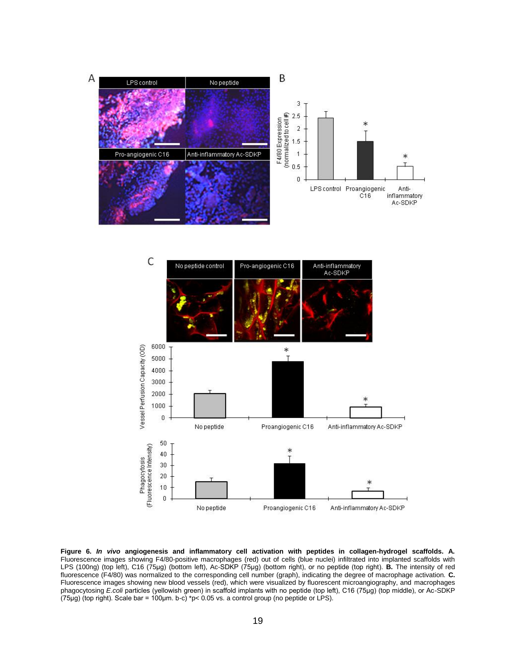



**Figure 6.** *In vivo* **angiogenesis and inflammatory cell activation with peptides in collagen-hydrogel scaffolds. A.**  Fluorescence images showing F4/80-positive macrophages (red) out of cells (blue nuclei) infiltrated into implanted scaffolds with LPS (100ng) (top left), C16 (75μg) (bottom left), Ac-SDKP (75μg) (bottom right), or no peptide (top right). **B.** The intensity of red fluorescence (F4/80) was normalized to the corresponding cell number (graph), indicating the degree of macrophage activation. **C.**  Fluorescence images showing new blood vessels (red), which were visualized by fluorescent microangiography, and macrophages phagocytosing *E.coli* particles (yellowish green) in scaffold implants with no peptide (top left), C16 (75μg) (top middle), or Ac-SDKP (75μg) (top right). Scale bar = 100μm. b-c) \*p< 0.05 vs. a control group (no peptide or LPS).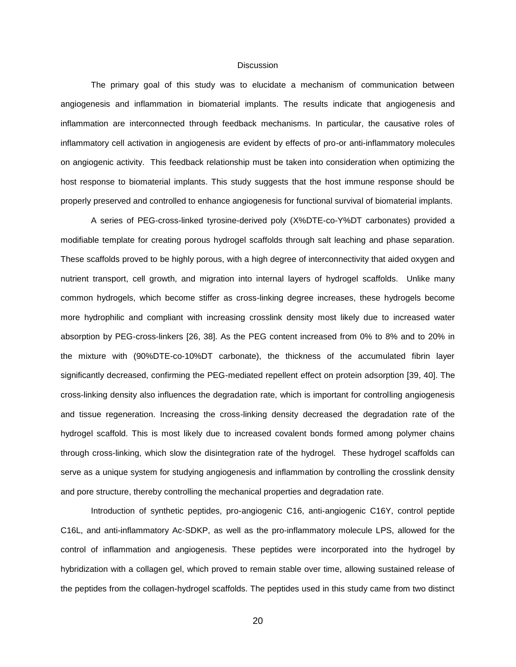#### **Discussion**

<span id="page-25-0"></span>The primary goal of this study was to elucidate a mechanism of communication between angiogenesis and inflammation in biomaterial implants. The results indicate that angiogenesis and inflammation are interconnected through feedback mechanisms. In particular, the causative roles of inflammatory cell activation in angiogenesis are evident by effects of pro-or anti-inflammatory molecules on angiogenic activity. This feedback relationship must be taken into consideration when optimizing the host response to biomaterial implants. This study suggests that the host immune response should be properly preserved and controlled to enhance angiogenesis for functional survival of biomaterial implants.

A series of PEG-cross-linked tyrosine-derived poly (X%DTE-co-Y%DT carbonates) provided a modifiable template for creating porous hydrogel scaffolds through salt leaching and phase separation. These scaffolds proved to be highly porous, with a high degree of interconnectivity that aided oxygen and nutrient transport, cell growth, and migration into internal layers of hydrogel scaffolds. Unlike many common hydrogels, which become stiffer as cross-linking degree increases, these hydrogels become more hydrophilic and compliant with increasing crosslink density most likely due to increased water absorption by PEG-cross-linkers [\[26,](#page-30-2) [38\]](#page-30-14). As the PEG content increased from 0% to 8% and to 20% in the mixture with (90%DTE-co-10%DT carbonate), the thickness of the accumulated fibrin layer significantly decreased, confirming the PEG-mediated repellent effect on protein adsorption [\[39,](#page-31-0) [40\]](#page-31-1). The cross-linking density also influences the degradation rate, which is important for controlling angiogenesis and tissue regeneration. Increasing the cross-linking density decreased the degradation rate of the hydrogel scaffold. This is most likely due to increased covalent bonds formed among polymer chains through cross-linking, which slow the disintegration rate of the hydrogel. These hydrogel scaffolds can serve as a unique system for studying angiogenesis and inflammation by controlling the crosslink density and pore structure, thereby controlling the mechanical properties and degradation rate.

Introduction of synthetic peptides, pro-angiogenic C16, anti-angiogenic C16Y, control peptide C16L, and anti-inflammatory Ac-SDKP, as well as the pro-inflammatory molecule LPS, allowed for the control of inflammation and angiogenesis. These peptides were incorporated into the hydrogel by hybridization with a collagen gel, which proved to remain stable over time, allowing sustained release of the peptides from the collagen-hydrogel scaffolds. The peptides used in this study came from two distinct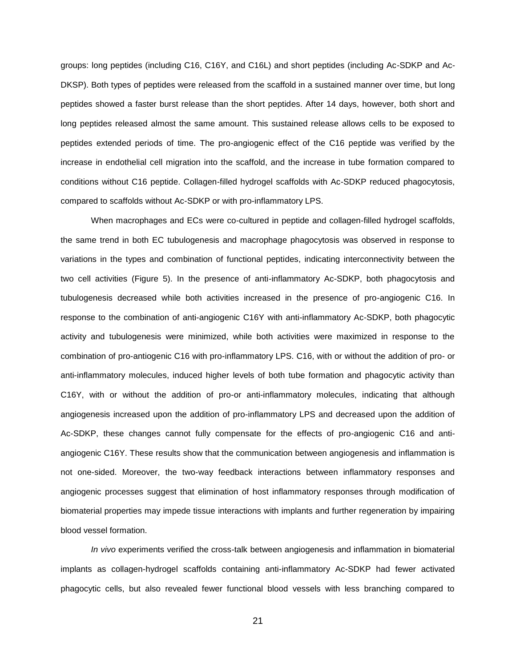groups: long peptides (including C16, C16Y, and C16L) and short peptides (including Ac-SDKP and Ac-DKSP). Both types of peptides were released from the scaffold in a sustained manner over time, but long peptides showed a faster burst release than the short peptides. After 14 days, however, both short and long peptides released almost the same amount. This sustained release allows cells to be exposed to peptides extended periods of time. The pro-angiogenic effect of the C16 peptide was verified by the increase in endothelial cell migration into the scaffold, and the increase in tube formation compared to conditions without C16 peptide. Collagen-filled hydrogel scaffolds with Ac-SDKP reduced phagocytosis, compared to scaffolds without Ac-SDKP or with pro-inflammatory LPS.

When macrophages and ECs were co-cultured in peptide and collagen-filled hydrogel scaffolds, the same trend in both EC tubulogenesis and macrophage phagocytosis was observed in response to variations in the types and combination of functional peptides, indicating interconnectivity between the two cell activities (Figure 5). In the presence of anti-inflammatory Ac-SDKP, both phagocytosis and tubulogenesis decreased while both activities increased in the presence of pro-angiogenic C16. In response to the combination of anti-angiogenic C16Y with anti-inflammatory Ac-SDKP, both phagocytic activity and tubulogenesis were minimized, while both activities were maximized in response to the combination of pro-antiogenic C16 with pro-inflammatory LPS. C16, with or without the addition of pro- or anti-inflammatory molecules, induced higher levels of both tube formation and phagocytic activity than C16Y, with or without the addition of pro-or anti-inflammatory molecules, indicating that although angiogenesis increased upon the addition of pro-inflammatory LPS and decreased upon the addition of Ac-SDKP, these changes cannot fully compensate for the effects of pro-angiogenic C16 and antiangiogenic C16Y. These results show that the communication between angiogenesis and inflammation is not one-sided. Moreover, the two-way feedback interactions between inflammatory responses and angiogenic processes suggest that elimination of host inflammatory responses through modification of biomaterial properties may impede tissue interactions with implants and further regeneration by impairing blood vessel formation.

*In vivo* experiments verified the cross-talk between angiogenesis and inflammation in biomaterial implants as collagen-hydrogel scaffolds containing anti-inflammatory Ac-SDKP had fewer activated phagocytic cells, but also revealed fewer functional blood vessels with less branching compared to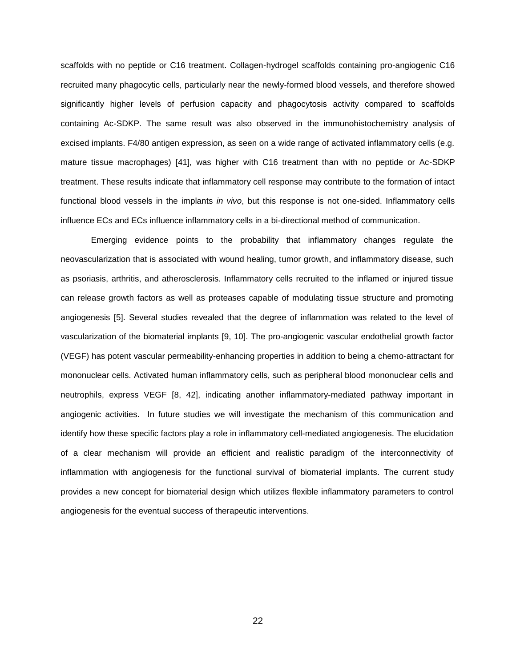scaffolds with no peptide or C16 treatment. Collagen-hydrogel scaffolds containing pro-angiogenic C16 recruited many phagocytic cells, particularly near the newly-formed blood vessels, and therefore showed significantly higher levels of perfusion capacity and phagocytosis activity compared to scaffolds containing Ac-SDKP. The same result was also observed in the immunohistochemistry analysis of excised implants. F4/80 antigen expression, as seen on a wide range of activated inflammatory cells (e.g. mature tissue macrophages) [\[41\]](#page-31-2), was higher with C16 treatment than with no peptide or Ac-SDKP treatment. These results indicate that inflammatory cell response may contribute to the formation of intact functional blood vessels in the implants *in vivo*, but this response is not one-sided. Inflammatory cells influence ECs and ECs influence inflammatory cells in a bi-directional method of communication.

Emerging evidence points to the probability that inflammatory changes regulate the neovascularization that is associated with wound healing, tumor growth, and inflammatory disease, such as psoriasis, arthritis, and atherosclerosis. Inflammatory cells recruited to the inflamed or injured tissue can release growth factors as well as proteases capable of modulating tissue structure and promoting angiogenesis [\[5\]](#page-29-4). Several studies revealed that the degree of inflammation was related to the level of vascularization of the biomaterial implants [\[9,](#page-29-16) [10\]](#page-29-17). The pro-angiogenic vascular endothelial growth factor (VEGF) has potent vascular permeability-enhancing properties in addition to being a chemo-attractant for mononuclear cells. Activated human inflammatory cells, such as peripheral blood mononuclear cells and neutrophils, express VEGF [\[8,](#page-29-18) [42\]](#page-31-3), indicating another inflammatory-mediated pathway important in angiogenic activities. In future studies we will investigate the mechanism of this communication and identify how these specific factors play a role in inflammatory cell-mediated angiogenesis. The elucidation of a clear mechanism will provide an efficient and realistic paradigm of the interconnectivity of inflammation with angiogenesis for the functional survival of biomaterial implants. The current study provides a new concept for biomaterial design which utilizes flexible inflammatory parameters to control angiogenesis for the eventual success of therapeutic interventions.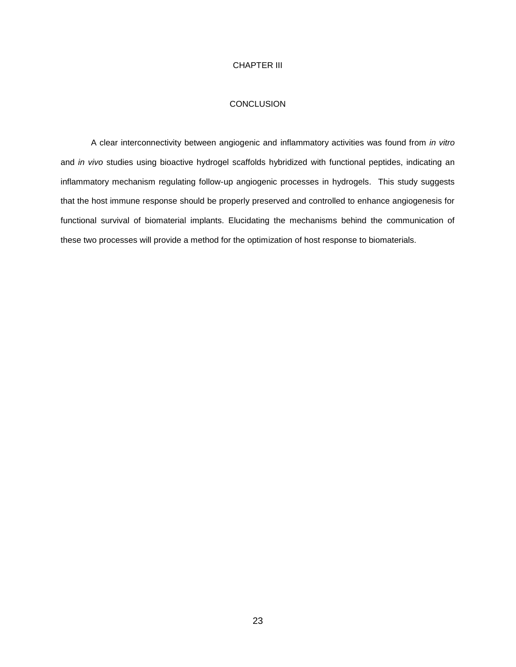## CHAPTER III

# **CONCLUSION**

<span id="page-28-1"></span><span id="page-28-0"></span>A clear interconnectivity between angiogenic and inflammatory activities was found from *in vitro*  and *in vivo* studies using bioactive hydrogel scaffolds hybridized with functional peptides, indicating an inflammatory mechanism regulating follow-up angiogenic processes in hydrogels. This study suggests that the host immune response should be properly preserved and controlled to enhance angiogenesis for functional survival of biomaterial implants. Elucidating the mechanisms behind the communication of these two processes will provide a method for the optimization of host response to biomaterials.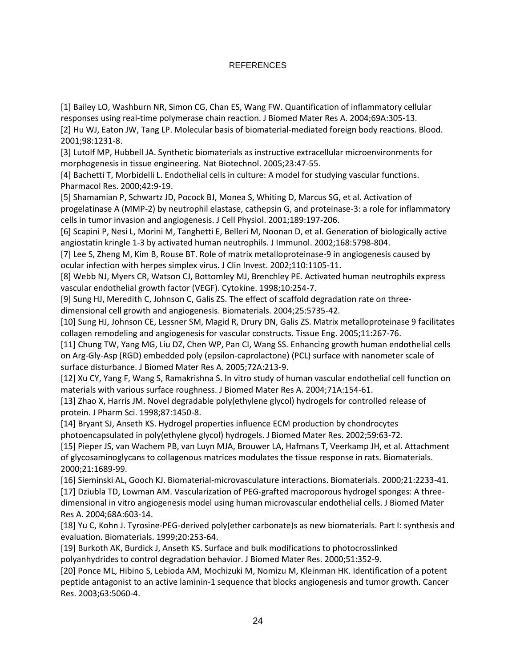# REFERENCES

<span id="page-29-0"></span>[1] Bailey LO, Washburn NR, Simon CG, Chan ES, Wang FW. Quantification of inflammatory cellular responses using real-time polymerase chain reaction. J Biomed Mater Res A. 2004;69A:305-13.

<span id="page-29-1"></span>[2] Hu WJ, Eaton JW, Tang LP. Molecular basis of biomaterial-mediated foreign body reactions. Blood. 2001;98:1231-8.

<span id="page-29-2"></span>[3] Lutolf MP, Hubbell JA. Synthetic biomaterials as instructive extracellular microenvironments for morphogenesis in tissue engineering. Nat Biotechnol. 2005;23:47-55.

<span id="page-29-3"></span>[4] Bachetti T, Morbidelli L. Endothelial cells in culture: A model for studying vascular functions. Pharmacol Res. 2000;42:9-19.

<span id="page-29-4"></span>[5] Shamamian P, Schwartz JD, Pocock BJ, Monea S, Whiting D, Marcus SG, et al. Activation of progelatinase A (MMP-2) by neutrophil elastase, cathepsin G, and proteinase-3: a role for inflammatory cells in tumor invasion and angiogenesis. J Cell Physiol. 2001;189:197-206.

<span id="page-29-5"></span>[6] Scapini P, Nesi L, Morini M, Tanghetti E, Belleri M, Noonan D, et al. Generation of biologically active angiostatin kringle 1-3 by activated human neutrophils. J Immunol. 2002;168:5798-804.

[7] Lee S, Zheng M, Kim B, Rouse BT. Role of matrix metalloproteinase-9 in angiogenesis caused by ocular infection with herpes simplex virus. J Clin Invest. 2002;110:1105-11.

<span id="page-29-18"></span>[8] Webb NJ, Myers CR, Watson CJ, Bottomley MJ, Brenchley PE. Activated human neutrophils express vascular endothelial growth factor (VEGF). Cytokine. 1998;10:254-7.

<span id="page-29-16"></span>[9] Sung HJ, Meredith C, Johnson C, Galis ZS. The effect of scaffold degradation rate on threedimensional cell growth and angiogenesis. Biomaterials. 2004;25:5735-42.

<span id="page-29-17"></span>[10] Sung HJ, Johnson CE, Lessner SM, Magid R, Drury DN, Galis ZS. Matrix metalloproteinase 9 facilitates collagen remodeling and angiogenesis for vascular constructs. Tissue Eng. 2005;11:267-76.

<span id="page-29-6"></span>[11] Chung TW, Yang MG, Liu DZ, Chen WP, Pan CI, Wang SS. Enhancing growth human endothelial cells on Arg-Gly-Asp (RGD) embedded poly (epsilon-caprolactone) (PCL) surface with nanometer scale of surface disturbance. J Biomed Mater Res A. 2005;72A:213-9.

<span id="page-29-7"></span>[12] Xu CY, Yang F, Wang S, Ramakrishna S. In vitro study of human vascular endothelial cell function on materials with various surface roughness. J Biomed Mater Res A. 2004;71A:154-61.

<span id="page-29-8"></span>[13] Zhao X, Harris JM. Novel degradable poly(ethylene glycol) hydrogels for controlled release of protein. J Pharm Sci. 1998;87:1450-8.

<span id="page-29-9"></span>[14] Bryant SJ, Anseth KS. Hydrogel properties influence ECM production by chondrocytes photoencapsulated in poly(ethylene glycol) hydrogels. J Biomed Mater Res. 2002;59:63-72.

<span id="page-29-10"></span>[15] Pieper JS, van Wachem PB, van Luyn MJA, Brouwer LA, Hafmans T, Veerkamp JH, et al. Attachment of glycosaminoglycans to collagenous matrices modulates the tissue response in rats. Biomaterials. 2000;21:1689-99.

<span id="page-29-11"></span>[16] Sieminski AL, Gooch KJ. Biomaterial-microvasculature interactions. Biomaterials. 2000;21:2233-41.

<span id="page-29-12"></span>[17] Dziubla TD, Lowman AM. Vascularization of PEG-grafted macroporous hydrogel sponges: A threedimensional in vitro angiogenesis model using human microvascular endothelial cells. J Biomed Mater Res A. 2004;68A:603-14.

<span id="page-29-13"></span>[18] Yu C, Kohn J. Tyrosine-PEG-derived poly(ether carbonate)s as new biomaterials. Part I: synthesis and evaluation. Biomaterials. 1999;20:253-64.

<span id="page-29-14"></span>[19] Burkoth AK, Burdick J, Anseth KS. Surface and bulk modifications to photocrosslinked polyanhydrides to control degradation behavior. J Biomed Mater Res. 2000;51:352-9.

<span id="page-29-15"></span>[20] Ponce ML, Hibino S, Lebioda AM, Mochizuki M, Nomizu M, Kleinman HK. Identification of a potent peptide antagonist to an active laminin-1 sequence that blocks angiogenesis and tumor growth. Cancer Res. 2003;63:5060-4.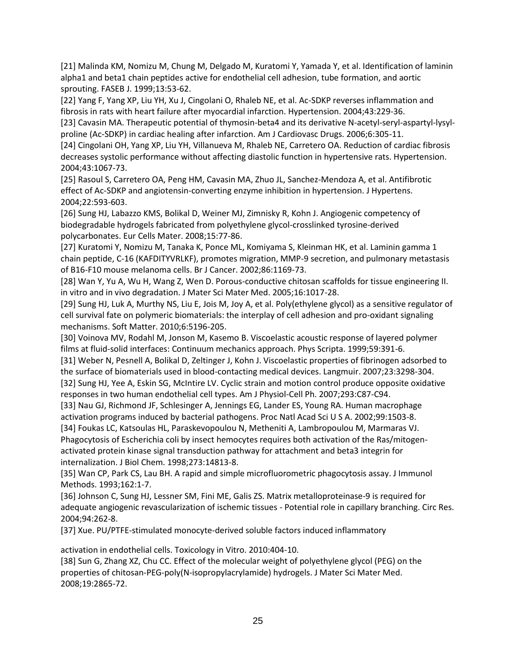<span id="page-30-0"></span>[21] Malinda KM, Nomizu M, Chung M, Delgado M, Kuratomi Y, Yamada Y, et al. Identification of laminin alpha1 and beta1 chain peptides active for endothelial cell adhesion, tube formation, and aortic sprouting. FASEB J. 1999;13:53-62.

<span id="page-30-1"></span>[22] Yang F, Yang XP, Liu YH, Xu J, Cingolani O, Rhaleb NE, et al. Ac-SDKP reverses inflammation and fibrosis in rats with heart failure after myocardial infarction. Hypertension. 2004;43:229-36.

[23] Cavasin MA. Therapeutic potential of thymosin-beta4 and its derivative N-acetyl-seryl-aspartyl-lysylproline (Ac-SDKP) in cardiac healing after infarction. Am J Cardiovasc Drugs. 2006;6:305-11.

[24] Cingolani OH, Yang XP, Liu YH, Villanueva M, Rhaleb NE, Carretero OA. Reduction of cardiac fibrosis decreases systolic performance without affecting diastolic function in hypertensive rats. Hypertension. 2004;43:1067-73.

[25] Rasoul S, Carretero OA, Peng HM, Cavasin MA, Zhuo JL, Sanchez-Mendoza A, et al. Antifibrotic effect of Ac-SDKP and angiotensin-converting enzyme inhibition in hypertension. J Hypertens. 2004;22:593-603.

<span id="page-30-2"></span>[26] Sung HJ, Labazzo KMS, Bolikal D, Weiner MJ, Zimnisky R, Kohn J. Angiogenic competency of biodegradable hydrogels fabricated from polyethylene glycol-crosslinked tyrosine-derived polycarbonates. Eur Cells Mater. 2008;15:77-86.

<span id="page-30-3"></span>[27] Kuratomi Y, Nomizu M, Tanaka K, Ponce ML, Komiyama S, Kleinman HK, et al. Laminin gamma 1 chain peptide, C-16 (KAFDITYVRLKF), promotes migration, MMP-9 secretion, and pulmonary metastasis of B16-F10 mouse melanoma cells. Br J Cancer. 2002;86:1169-73.

<span id="page-30-4"></span>[28] Wan Y, Yu A, Wu H, Wang Z, Wen D. Porous-conductive chitosan scaffolds for tissue engineering II. in vitro and in vivo degradation. J Mater Sci Mater Med. 2005;16:1017-28.

<span id="page-30-5"></span>[29] Sung HJ, Luk A, Murthy NS, Liu E, Jois M, Joy A, et al. Poly(ethylene glycol) as a sensitive regulator of cell survival fate on polymeric biomaterials: the interplay of cell adhesion and pro-oxidant signaling mechanisms. Soft Matter. 2010;6:5196-205.

<span id="page-30-6"></span>[30] Voinova MV, Rodahl M, Jonson M, Kasemo B. Viscoelastic acoustic response of layered polymer films at fluid-solid interfaces: Continuum mechanics approach. Phys Scripta. 1999;59:391-6.

<span id="page-30-7"></span>[31] Weber N, Pesnell A, Bolikal D, Zeltinger J, Kohn J. Viscoelastic properties of fibrinogen adsorbed to the surface of biomaterials used in blood-contacting medical devices. Langmuir. 2007;23:3298-304.

<span id="page-30-8"></span>[32] Sung HJ, Yee A, Eskin SG, McIntire LV. Cyclic strain and motion control produce opposite oxidative responses in two human endothelial cell types. Am J Physiol-Cell Ph. 2007;293:C87-C94.

<span id="page-30-9"></span>[33] Nau GJ, Richmond JF, Schlesinger A, Jennings EG, Lander ES, Young RA. Human macrophage activation programs induced by bacterial pathogens. Proc Natl Acad Sci U S A. 2002;99:1503-8.

<span id="page-30-10"></span>[34] Foukas LC, Katsoulas HL, Paraskevopoulou N, Metheniti A, Lambropoulou M, Marmaras VJ. Phagocytosis of Escherichia coli by insect hemocytes requires both activation of the Ras/mitogenactivated protein kinase signal transduction pathway for attachment and beta3 integrin for internalization. J Biol Chem. 1998;273:14813-8.

<span id="page-30-11"></span>[35] Wan CP, Park CS, Lau BH. A rapid and simple microfluorometric phagocytosis assay. J Immunol Methods. 1993;162:1-7.

<span id="page-30-12"></span>[36] Johnson C, Sung HJ, Lessner SM, Fini ME, Galis ZS. Matrix metalloproteinase-9 is required for adequate angiogenic revascularization of ischemic tissues - Potential role in capillary branching. Circ Res. 2004;94:262-8.

<span id="page-30-13"></span>[37] Xue. PU/PTFE-stimulated monocyte-derived soluble factors induced inflammatory

activation in endothelial cells. Toxicology in Vitro. 2010:404-10.

<span id="page-30-14"></span>[38] Sun G, Zhang XZ, Chu CC. Effect of the molecular weight of polyethylene glycol (PEG) on the properties of chitosan-PEG-poly(N-isopropylacrylamide) hydrogels. J Mater Sci Mater Med. 2008;19:2865-72.